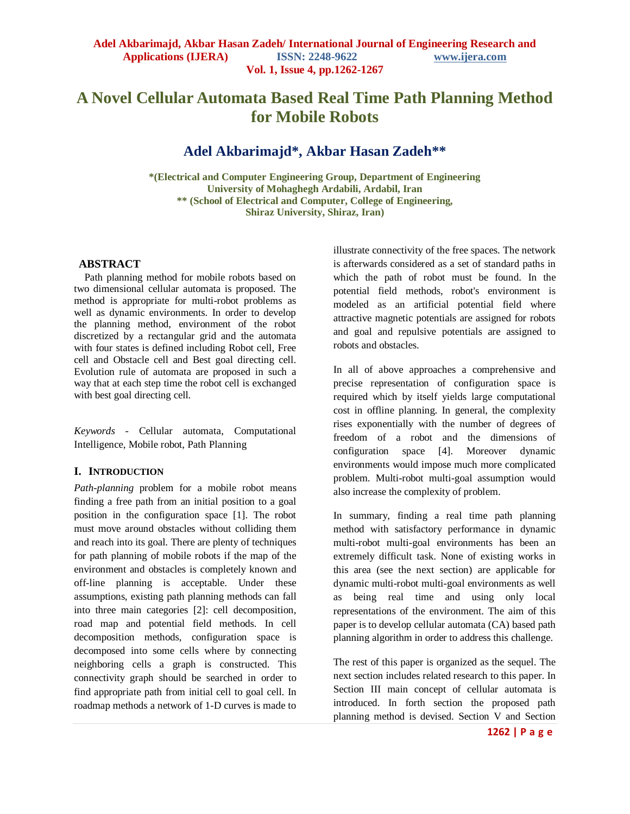# **A Novel Cellular Automata Based Real Time Path Planning Method for Mobile Robots**

# **Adel Akbarimajd\*, Akbar Hasan Zadeh\*\***

**\*(Electrical and Computer Engineering Group, Department of Engineering University of Mohaghegh Ardabili, Ardabil, Iran \*\* (School of Electrical and Computer, College of Engineering, Shiraz University, Shiraz, Iran)**

#### **ABSTRACT**

Path planning method for mobile robots based on two dimensional cellular automata is proposed. The method is appropriate for multi-robot problems as well as dynamic environments. In order to develop the planning method, environment of the robot discretized by a rectangular grid and the automata with four states is defined including Robot cell, Free cell and Obstacle cell and Best goal directing cell. Evolution rule of automata are proposed in such a way that at each step time the robot cell is exchanged with best goal directing cell.

*Keywords* - Cellular automata, Computational Intelligence, Mobile robot, Path Planning

#### **I. INTRODUCTION**

*Path-planning* problem for a mobile robot means finding a free path from an initial position to a goal position in the configuration space [\[1\].](#page-5-0) The robot must move around obstacles without colliding them and reach into its goal. There are plenty of techniques for path planning of mobile robots if the map of the environment and obstacles is completely known and off-line planning is acceptable. Under these assumptions, existing path planning methods can fall into three main categories [\[2\]:](#page-5-1) cell decomposition, road map and potential field methods. In cell decomposition methods, configuration space is decomposed into some cells where by connecting neighboring cells a graph is constructed. This connectivity graph should be searched in order to find appropriate path from initial cell to goal cell. In roadmap methods a network of 1-D curves is made to

illustrate connectivity of the free spaces. The network is afterwards considered as a set of standard paths in which the path of robot must be found. In the potential field methods, robot's environment is modeled as an artificial potential field where attractive magnetic potentials are assigned for robots and goal and repulsive potentials are assigned to robots and obstacles.

In all of above approaches a comprehensive and precise representation of configuration space is required which by itself yields large computational cost in offline planning. In general, the complexity rises exponentially with the number of degrees of freedom of a robot and the dimensions of configuration space [\[4\].](#page-5-2) Moreover dynamic environments would impose much more complicated problem. Multi-robot multi-goal assumption would also increase the complexity of problem.

In summary, finding a real time path planning method with satisfactory performance in dynamic multi-robot multi-goal environments has been an extremely difficult task. None of existing works in this area (see the next section) are applicable for dynamic multi-robot multi-goal environments as well as being real time and using only local representations of the environment. The aim of this paper is to develop cellular automata (CA) based path planning algorithm in order to address this challenge.

The rest of this paper is organized as the sequel. The next section includes related research to this paper. In Section III main concept of cellular automata is introduced. In forth section the proposed path planning method is devised. Section V and Section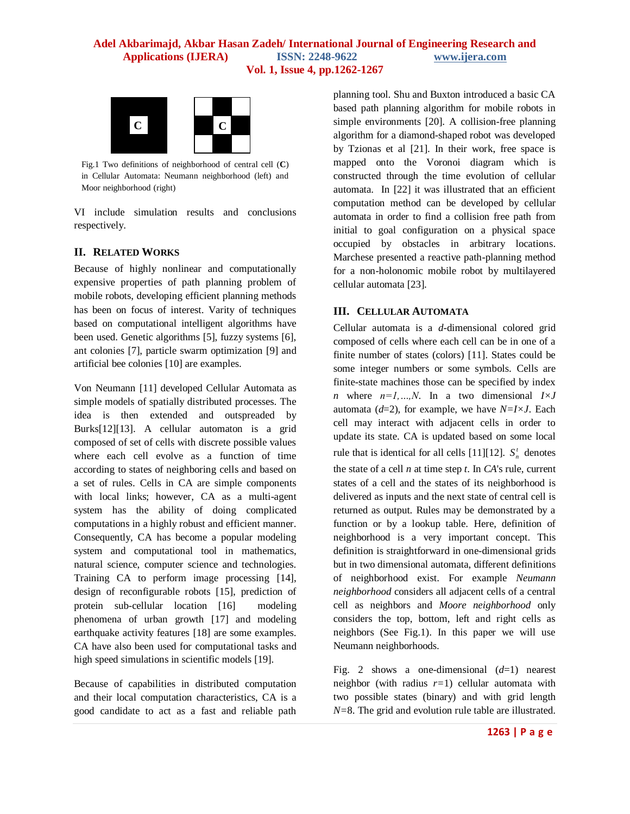

Fig.1 Two definitions of neighborhood of central cell (**C**) in Cellular Automata: Neumann neighborhood (left) and Moor neighborhood (right)

VI include simulation results and conclusions respectively.

## **II. RELATED WORKS**

Because of highly nonlinear and computationally expensive properties of path planning problem of mobile robots, developing efficient planning methods has been on focus of interest. Varity of techniques based on computational intelligent algorithms have been used. Genetic algorithms [\[5\],](#page-5-3) fuzzy systems [\[6\],](#page-5-4) ant colonies [\[7\],](#page-5-5) particle swarm optimization [\[9\]](#page-5-6) and artificial bee colonies [\[10\]](#page-5-7) are examples.

Von Neumann [\[11\]](#page-5-8) developed Cellular Automata as simple models of spatially distributed processes. The idea is then extended and outspreaded by Burk[s\[12\]\[13\].](#page-5-9) A cellular automaton is a grid composed of set of cells with discrete possible values where each cell evolve as a function of time according to states of neighboring cells and based on a set of rules. Cells in CA are simple components with local links; however, CA as a multi-agent system has the ability of doing complicated computations in a highly robust and efficient manner. Consequently, CA has become a popular modeling system and computational tool in mathematics, natural science, computer science and technologies. Training CA to perform image processing [\[14\],](#page-5-10) design of reconfigurable robots [\[15\],](#page-5-11) prediction of protein sub-cellular location [\[16\]](#page-5-12) modeling phenomena of urban growth [\[17\]](#page-5-13) and modeling earthquake activity features [\[18\]](#page-5-14) are some examples. CA have also been used for computational tasks and high speed simulations in scientific models [\[19\].](#page-5-15)

Because of capabilities in distributed computation and their local computation characteristics, CA is a good candidate to act as a fast and reliable path planning tool. Shu and Buxton introduced a basic CA based path planning algorithm for mobile robots in simple environments [\[20\].](#page-5-16) A collision-free planning algorithm for a diamond-shaped robot was developed by Tzionas et al [\[21\].](#page-5-17) In their work, free space is mapped onto the Voronoi diagram which is constructed through the time evolution of cellular automata. In [\[22\]](#page-5-18) it was illustrated that an efficient computation method can be developed by cellular automata in order to find a collision free path from initial to goal configuration on a physical space occupied by obstacles in arbitrary locations. Marchese presented a reactive path-planning method for a non-holonomic mobile robot by multilayered cellular automat[a \[23\].](#page-5-19)

## **III. CELLULAR AUTOMATA**

Cellular automata is a *d*-dimensional colored grid composed of cells where each cell can be in one of a finite number of states (colors) [\[11\].](#page-5-8) States could be some integer numbers or some symbols. Cells are finite-state machines those can be specified by index *n* where  $n=1,...,N$ . In a two dimensional  $I\times J$ automata (*d*=2), for example, we have *N=I×J*. Each cell may interact with adjacent cells in order to update its state. CA is updated based on some local rule that is identical for all cells [\[11\]\[12\].](#page-5-20)  $S_n^t$  denotes the state of a cell *n* at time step *t*. In *CA*'s rule, current states of a cell and the states of its neighborhood is delivered as inputs and the next state of central cell is returned as output. Rules may be demonstrated by a function or by a lookup table. Here, definition of neighborhood is a very important concept. This definition is straightforward in one-dimensional grids but in two dimensional automata, different definitions of neighborhood exist. For example *Neumann neighborhood* considers all adjacent cells of a central cell as neighbors and *Moore neighborhood* only considers the top, bottom, left and right cells as neighbors (See Fig.1). In this paper we will use Neumann neighborhoods.

Fig. 2 shows a one-dimensional (*d*=1) nearest neighbor (with radius *r=*1) cellular automata with two possible states (binary) and with grid length *N=*8. The grid and evolution rule table are illustrated.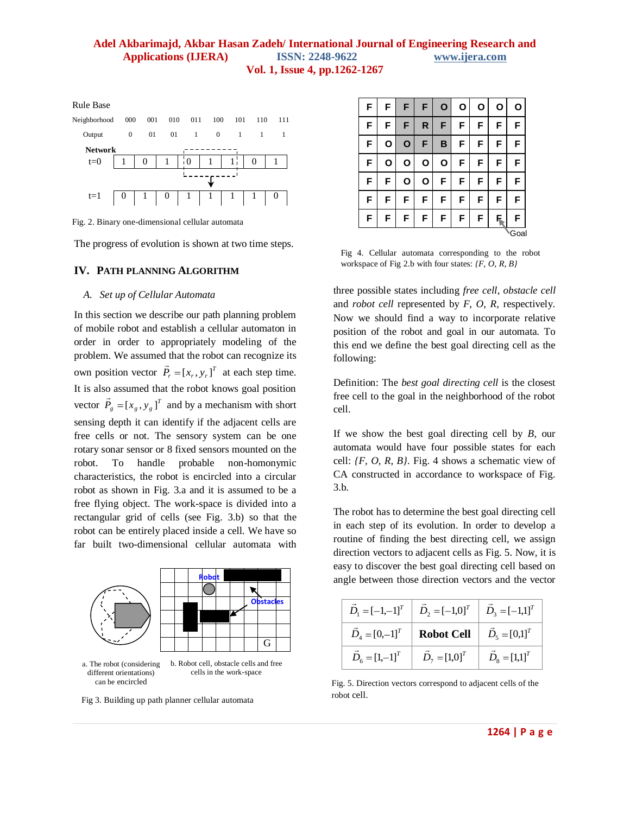

Fig. 2. Binary one-dimensional cellular automata

The progress of evolution is shown at two time steps.

#### **IV. PATH PLANNING ALGORITHM**

#### *A. Set up of Cellular Automata*

In this section we describe our path planning problem of mobile robot and establish a cellular automaton in order in order to appropriately modeling of the problem. We assumed that the robot can recognize its own position vector  $\vec{P}_r = [x_r, y_r]^T$  at each step time. It is also assumed that the robot knows goal position vector  $\vec{P}_g = [x_g, y_g]^T$  $\overline{a}$ and by a mechanism with short sensing depth it can identify if the adjacent cells are free cells or not. The sensory system can be one rotary sonar sensor or 8 fixed sensors mounted on the robot. To handle probable non-homonymic characteristics, the robot is encircled into a circular robot as shown in Fig. 3.a and it is assumed to be a free flying object. The work-space is divided into a rectangular grid of cells (see Fig. 3.b) so that the robot can be entirely placed inside a cell. We have so far built two-dimensional cellular automata with



Fig 3. Building up path planner cellular automata

| F | F | F | F | $\mathbf{o}$ | O | О | O  | 0    |
|---|---|---|---|--------------|---|---|----|------|
| F | F | F | R | F            | F | F | F  | F    |
| F | O | O | F | B            | F | F | F  | F    |
| F | O | O | О | О            | F | F | F  | F    |
| F | F | O | О | F            | F | F | F  | F    |
| F | F | F | F | F            | F | F | F  | F    |
| F | F | F | F | F            | F | F | F. | F    |
|   |   |   |   |              |   |   |    | Goal |

Fig 4. Cellular automata corresponding to the robot workspace of Fig 2.b with four states: *{F, O, R, B}*

three possible states including *free cell*, *obstacle cell*  and *robot cell* represented by *F*, *O*, *R*, respectively. Now we should find a way to incorporate relative position of the robot and goal in our automata. To this end we define the best goal directing cell as the following:

Definition: The *best goal directing cell* is the closest free cell to the goal in the neighborhood of the robot cell.

If we show the best goal directing cell by *B*, our automata would have four possible states for each cell: *{F, O, R, B}*. Fig. 4 shows a schematic view of CA constructed in accordance to workspace of Fig. 3.b.

The robot has to determine the best goal directing cell in each step of its evolution. In order to develop a routine of finding the best directing cell, we assign direction vectors to adjacent cells as Fig. 5. Now, it is easy to discover the best goal directing cell based on angle between those direction vectors and the vector

|                        | $\vec{D}_1 = [-1,-1]^T$ $\vec{D}_2 = [-1,0]^T$ $\vec{D}_3 = [-1,1]^T$ |                       |
|------------------------|-----------------------------------------------------------------------|-----------------------|
|                        | $\vec{D}_4 = [0,-1]^T$ <b>Robot Cell</b> $\vec{D}_5 = [0,1]^T$        |                       |
| $\vec{D}_6 = [1,-1]^T$ | $\vec{D}_7 = [1,0]^T$                                                 | $\vec{D}_8 = [1,1]^T$ |

Fig. 5. Direction vectors correspond to adjacent cells of the robot cell.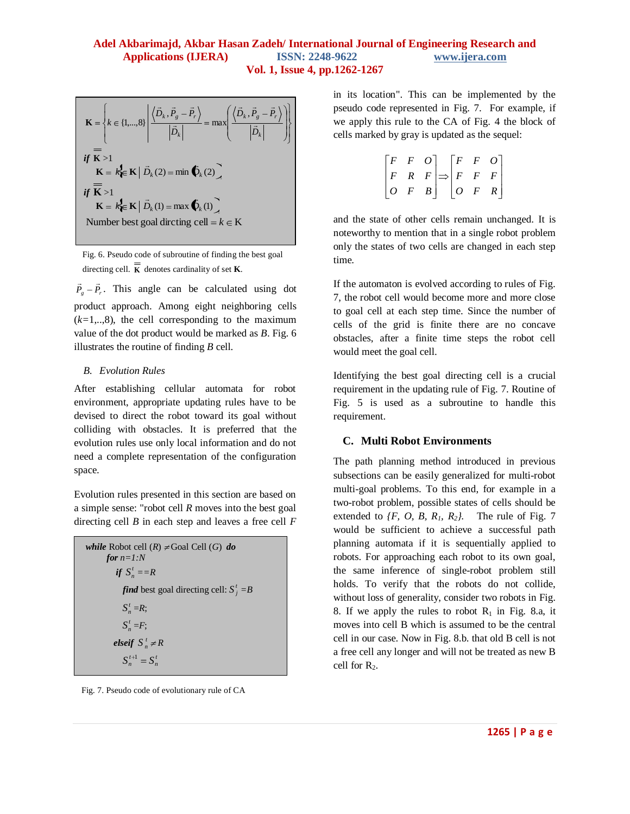$$
\mathbf{K} = \left\{ k \in \{1, ..., 8\} \middle| \frac{\left\langle \vec{D}_k, \vec{P}_s - \vec{P}_r \right\rangle}{\left| \vec{D}_k \right|} = \max \left( \frac{\left\langle \vec{D}_k, \vec{P}_s - \vec{P}_r \right\rangle}{\left| \vec{D}_k \right|} \right) \right\}
$$
\n
$$
= \mathbf{if} \ \mathbf{K} > 1
$$
\n
$$
\mathbf{K} = k \mathbf{\in K} \middle| \ \vec{D}_k(2) = \min \mathbf{\bullet}_k(2),
$$
\n
$$
\mathbf{if} \ \mathbf{\overline{K}} > 1
$$
\n
$$
\mathbf{K} = k \mathbf{\in K} \middle| \ \vec{D}_k(1) = \max \mathbf{\bullet}_k(1),
$$
\n
$$
\text{Number best goal directing cell} = k \in \mathbf{K}
$$

Fig. 6. Pseudo code of subroutine of finding the best goal directing cell. **K** denotes cardinality of set **K**.

 $\vec{P}_g - \vec{P}_r$ . This angle can be calculated using dot product approach. Among eight neighboring cells  $(k=1, 8)$ , the cell corresponding to the maximum value of the dot product would be marked as *B*. Fig. 6 illustrates the routine of finding *B* cell.

#### *B. Evolution Rules*

After establishing cellular automata for robot environment, appropriate updating rules have to be devised to direct the robot toward its goal without colliding with obstacles. It is preferred that the evolution rules use only local information and do not need a complete representation of the configuration space.

Evolution rules presented in this section are based on a simple sense: "robot cell *R* moves into the best goal directing cell *B* in each step and leaves a free cell *F*

```
while Robot cell (R) \neq Goal Cell (G) do
     for n=1:N
if S_n^t = Rfind best goal directing cell: S_j^t = BS_n^t = R;
          S_n^t = F;elseif S_n^t \neq RS_n^{t+1} = S_n^t
```
Fig. 7. Pseudo code of evolutionary rule of CA

in its location". This can be implemented by the pseudo code represented in Fig. 7. For example, if we apply this rule to the CA of Fig. 4 the block of cells marked by gray is updated as the sequel:

| $\lceil F \rceil$ | $\boldsymbol{F}$ | O | $\lceil F \rceil$ | $\boldsymbol{F}$                          | $\overline{O}$  |
|-------------------|------------------|---|-------------------|-------------------------------------------|-----------------|
| $\mid F \mid$     |                  |   |                   | $R \mid F \mid \Rightarrow \mid F \mid F$ | $\vert F \vert$ |
| $\boxed{o}$       | $\cal F$         |   | $B \mid O$        | $\cal F$                                  | R               |

and the state of other cells remain unchanged. It is noteworthy to mention that in a single robot problem only the states of two cells are changed in each step time.

If the automaton is evolved according to rules of Fig. 7, the robot cell would become more and more close to goal cell at each step time. Since the number of cells of the grid is finite there are no concave obstacles, after a finite time steps the robot cell would meet the goal cell.

Identifying the best goal directing cell is a crucial requirement in the updating rule of Fig. 7. Routine of Fig. 5 is used as a subroutine to handle this requirement.

#### **C. Multi Robot Environments**

The path planning method introduced in previous subsections can be easily generalized for multi-robot multi-goal problems. To this end, for example in a two-robot problem, possible states of cells should be extended to  $\{F, O, B, R_1, R_2\}$ . The rule of Fig. 7 would be sufficient to achieve a successful path planning automata if it is sequentially applied to robots. For approaching each robot to its own goal, the same inference of single-robot problem still holds. To verify that the robots do not collide, without loss of generality, consider two robots in Fig. 8. If we apply the rules to robot  $R_1$  in Fig. 8.a, it moves into cell B which is assumed to be the central cell in our case. Now in Fig. 8.b. that old B cell is not a free cell any longer and will not be treated as new B cell for  $R_2$ .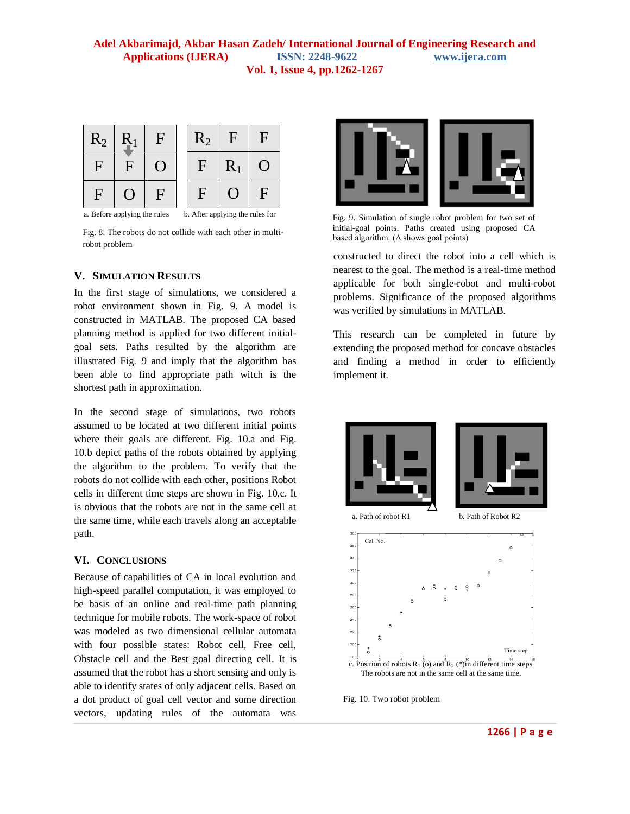

b. After applying the rules for

Fig. 8. The robots do not collide with each other in multirobot problem

#### **V. SIMULATION RESULTS**

In the first stage of simulations, we considered a robot environment shown in Fig. 9. A model is constructed in MATLAB. The proposed CA based planning method is applied for two different initialgoal sets. Paths resulted by the algorithm are illustrated Fig. 9 and imply that the algorithm has been able to find appropriate path witch is the shortest path in approximation.

In the second stage of simulations, two robots assumed to be located at two different initial points where their goals are different. Fig. 10.a and Fig. 10.b depict paths of the robots obtained by applying the algorithm to the problem. To verify that the robots do not collide with each other, positions Robot cells in different time steps are shown in Fig. 10.c. It is obvious that the robots are not in the same cell at the same time, while each travels along an acceptable path.

#### **VI. CONCLUSIONS**

Because of capabilities of CA in local evolution and high-speed parallel computation, it was employed to be basis of an online and real-time path planning technique for mobile robots. The work-space of robot was modeled as two dimensional cellular automata with four possible states: Robot cell, Free cell, Obstacle cell and the Best goal directing cell. It is assumed that the robot has a short sensing and only is able to identify states of only adjacent cells. Based on a dot product of goal cell vector and some direction vectors, updating rules of the automata was



Fig. 9. Simulation of single robot problem for two set of initial-goal points. Paths created using proposed CA based algorithm. ( $\triangle$  shows goal points)

constructed to direct the robot into a cell which is nearest to the goal. The method is a real-time method applicable for both single-robot and multi-robot problems. Significance of the proposed algorithms was verified by simulations in MATLAB.

This research can be completed in future by extending the proposed method for concave obstacles and finding a method in order to efficiently implement it.





Fig. 10. Two robot problem